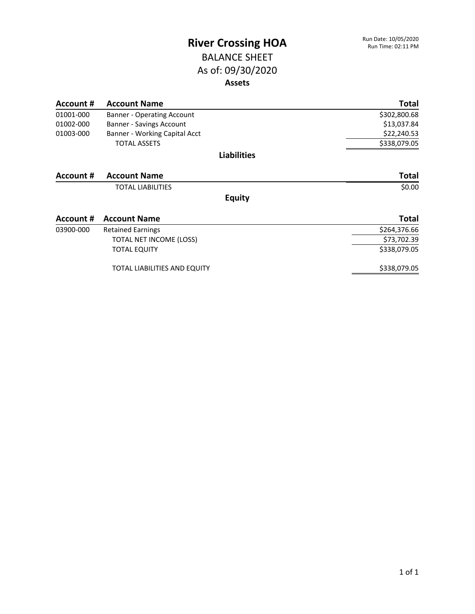#### BALANCE SHEET As of: 09/30/2020 **Assets**

| Account # | <b>Account Name</b>                 | <b>Total</b> |
|-----------|-------------------------------------|--------------|
| 01001-000 | <b>Banner - Operating Account</b>   | \$302,800.68 |
| 01002-000 | Banner - Savings Account            | \$13,037.84  |
| 01003-000 | Banner - Working Capital Acct       | \$22,240.53  |
|           | <b>TOTAL ASSETS</b>                 | \$338,079.05 |
|           | <b>Liabilities</b>                  |              |
| Account # | <b>Account Name</b>                 | <b>Total</b> |
|           | <b>TOTAL LIABILITIES</b>            | \$0.00       |
|           | <b>Equity</b>                       |              |
| Account # | <b>Account Name</b>                 | <b>Total</b> |
| 03900-000 | <b>Retained Earnings</b>            | \$264,376.66 |
|           | TOTAL NET INCOME (LOSS)             | \$73,702.39  |
|           | <b>TOTAL EQUITY</b>                 | \$338,079.05 |
|           | <b>TOTAL LIABILITIES AND EQUITY</b> | \$338,079.05 |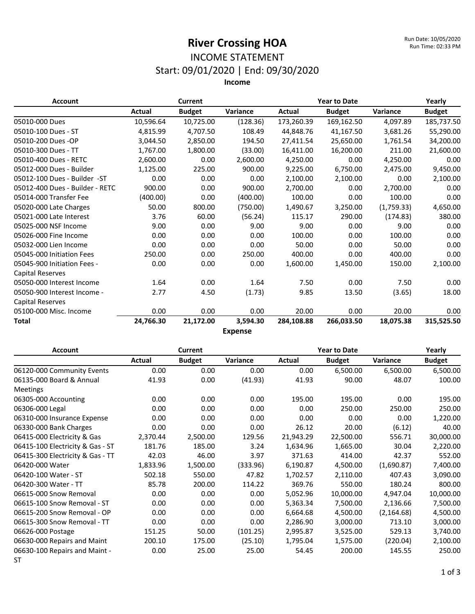#### INCOME STATEMENT Start: 09/01/2020 | End: 09/30/2020

**Income**

| <b>Account</b>                  |           | <b>Current</b> |                            |            | <b>Year to Date</b> |            |               |
|---------------------------------|-----------|----------------|----------------------------|------------|---------------------|------------|---------------|
|                                 | Actual    | <b>Budget</b>  | Variance                   | Actual     | <b>Budget</b>       | Variance   | <b>Budget</b> |
| 05010-000 Dues                  | 10,596.64 | 10,725.00      | (128.36)                   | 173,260.39 | 169,162.50          | 4,097.89   | 185,737.50    |
| 05010-100 Dues - ST             | 4,815.99  | 4,707.50       | 108.49                     | 44,848.76  | 41,167.50           | 3,681.26   | 55,290.00     |
| 05010-200 Dues -OP              | 3,044.50  | 2,850.00       | 194.50                     | 27,411.54  | 25,650.00           | 1,761.54   | 34,200.00     |
| 05010-300 Dues - TT             | 1,767.00  | 1,800.00       | (33.00)                    | 16,411.00  | 16,200.00           | 211.00     | 21,600.00     |
| 05010-400 Dues - RETC           | 2,600.00  | 0.00           | 2,600.00                   | 4,250.00   | 0.00                | 4,250.00   | 0.00          |
| 05012-000 Dues - Builder        | 1,125.00  | 225.00         | 900.00                     | 9,225.00   | 6,750.00            | 2,475.00   | 9,450.00      |
| 05012-100 Dues - Builder -ST    | 0.00      | 0.00           | 0.00                       | 2,100.00   | 2,100.00            | 0.00       | 2,100.00      |
| 05012-400 Dues - Builder - RETC | 900.00    | 0.00           | 900.00                     | 2,700.00   | 0.00                | 2,700.00   | 0.00          |
| 05014-000 Transfer Fee          | (400.00)  | 0.00           | (400.00)                   | 100.00     | 0.00                | 100.00     | 0.00          |
| 05020-000 Late Charges          | 50.00     | 800.00         | (750.00)                   | 1,490.67   | 3,250.00            | (1,759.33) | 4,650.00      |
| 05021-000 Late Interest         | 3.76      | 60.00          | (56.24)                    | 115.17     | 290.00              | (174.83)   | 380.00        |
| 05025-000 NSF Income            | 9.00      | 0.00           | 9.00                       | 9.00       | 0.00                | 9.00       | 0.00          |
| 05026-000 Fine Income           | 0.00      | 0.00           | 0.00                       | 100.00     | 0.00                | 100.00     | 0.00          |
| 05032-000 Lien Income           | 0.00      | 0.00           | 0.00                       | 50.00      | 0.00                | 50.00      | 0.00          |
| 05045-000 Initiation Fees       | 250.00    | 0.00           | 250.00                     | 400.00     | 0.00                | 400.00     | 0.00          |
| 05045-900 Initiation Fees -     | 0.00      | 0.00           | 0.00                       | 1,600.00   | 1,450.00            | 150.00     | 2,100.00      |
| Capital Reserves                |           |                |                            |            |                     |            |               |
| 05050-000 Interest Income       | 1.64      | 0.00           | 1.64                       | 7.50       | 0.00                | 7.50       | 0.00          |
| 05050-900 Interest Income -     | 2.77      | 4.50           | (1.73)                     | 9.85       | 13.50               | (3.65)     | 18.00         |
| <b>Capital Reserves</b>         |           |                |                            |            |                     |            |               |
| 05100-000 Misc. Income          | 0.00      | 0.00           | 0.00                       | 20.00      | 0.00                | 20.00      | 0.00          |
| Total                           | 24,766.30 | 21,172.00      | 3,594.30<br>F <sub>2</sub> | 284,108.88 | 266,033.50          | 18,075.38  | 315,525.50    |

**Expense**

| <b>Account</b>                   |          | <b>Current</b> |          |           | <b>Year to Date</b> |             |               |
|----------------------------------|----------|----------------|----------|-----------|---------------------|-------------|---------------|
|                                  | Actual   | <b>Budget</b>  | Variance | Actual    | <b>Budget</b>       | Variance    | <b>Budget</b> |
| 06120-000 Community Events       | 0.00     | 0.00           | 0.00     | 0.00      | 6,500.00            | 6,500.00    | 6,500.00      |
| 06135-000 Board & Annual         | 41.93    | 0.00           | (41.93)  | 41.93     | 90.00               | 48.07       | 100.00        |
| <b>Meetings</b>                  |          |                |          |           |                     |             |               |
| 06305-000 Accounting             | 0.00     | 0.00           | 0.00     | 195.00    | 195.00              | 0.00        | 195.00        |
| 06306-000 Legal                  | 0.00     | 0.00           | 0.00     | 0.00      | 250.00              | 250.00      | 250.00        |
| 06310-000 Insurance Expense      | 0.00     | 0.00           | 0.00     | 0.00      | 0.00                | 0.00        | 1,220.00      |
| 06330-000 Bank Charges           | 0.00     | 0.00           | 0.00     | 26.12     | 20.00               | (6.12)      | 40.00         |
| 06415-000 Electricity & Gas      | 2,370.44 | 2,500.00       | 129.56   | 21,943.29 | 22,500.00           | 556.71      | 30,000.00     |
| 06415-100 Electricity & Gas - ST | 181.76   | 185.00         | 3.24     | 1,634.96  | 1,665.00            | 30.04       | 2,220.00      |
| 06415-300 Electricity & Gas - TT | 42.03    | 46.00          | 3.97     | 371.63    | 414.00              | 42.37       | 552.00        |
| 06420-000 Water                  | 1,833.96 | 1,500.00       | (333.96) | 6,190.87  | 4,500.00            | (1,690.87)  | 7,400.00      |
| 06420-100 Water - ST             | 502.18   | 550.00         | 47.82    | 1,702.57  | 2,110.00            | 407.43      | 3,090.00      |
| 06420-300 Water - TT             | 85.78    | 200.00         | 114.22   | 369.76    | 550.00              | 180.24      | 800.00        |
| 06615-000 Snow Removal           | 0.00     | 0.00           | 0.00     | 5,052.96  | 10,000.00           | 4,947.04    | 10,000.00     |
| 06615-100 Snow Removal - ST      | 0.00     | 0.00           | 0.00     | 5,363.34  | 7,500.00            | 2,136.66    | 7,500.00      |
| 06615-200 Snow Removal - OP      | 0.00     | 0.00           | 0.00     | 6,664.68  | 4,500.00            | (2, 164.68) | 4,500.00      |
| 06615-300 Snow Removal - TT      | 0.00     | 0.00           | 0.00     | 2,286.90  | 3,000.00            | 713.10      | 3,000.00      |
| 06626-000 Postage                | 151.25   | 50.00          | (101.25) | 2,995.87  | 3,525.00            | 529.13      | 3,740.00      |
| 06630-000 Repairs and Maint      | 200.10   | 175.00         | (25.10)  | 1,795.04  | 1,575.00            | (220.04)    | 2,100.00      |
| 06630-100 Repairs and Maint -    | 0.00     | 25.00          | 25.00    | 54.45     | 200.00              | 145.55      | 250.00        |
| ST                               |          |                |          |           |                     |             |               |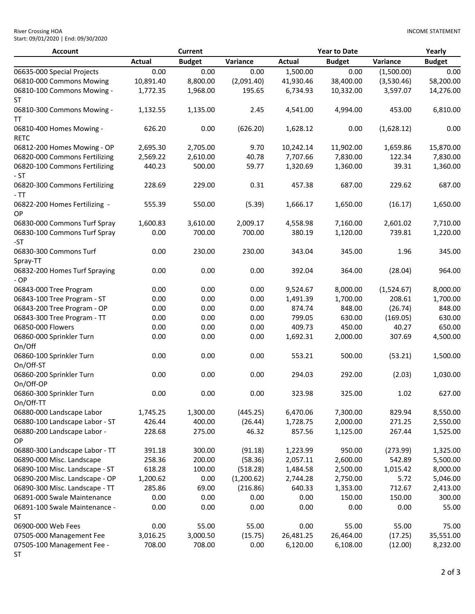| <b>River Crossing HOA</b>           |  |
|-------------------------------------|--|
| Start: 09/01/2020   End: 09/30/2020 |  |

| <b>Account</b>                             |               | <b>Current</b> |            |               | <b>Year to Date</b> |            | Yearly        |
|--------------------------------------------|---------------|----------------|------------|---------------|---------------------|------------|---------------|
|                                            | <b>Actual</b> | <b>Budget</b>  | Variance   | <b>Actual</b> | <b>Budget</b>       | Variance   | <b>Budget</b> |
| 06635-000 Special Projects                 | 0.00          | 0.00           | 0.00       | 1,500.00      | 0.00                | (1,500.00) | 0.00          |
| 06810-000 Commons Mowing                   | 10,891.40     | 8,800.00       | (2,091.40) | 41,930.46     | 38,400.00           | (3,530.46) | 58,200.00     |
| 06810-100 Commons Mowing -<br>ST           | 1,772.35      | 1,968.00       | 195.65     | 6,734.93      | 10,332.00           | 3,597.07   | 14,276.00     |
| 06810-300 Commons Mowing -<br>TΤ           | 1,132.55      | 1,135.00       | 2.45       | 4,541.00      | 4,994.00            | 453.00     | 6,810.00      |
| 06810-400 Homes Mowing -<br><b>RETC</b>    | 626.20        | 0.00           | (626.20)   | 1,628.12      | 0.00                | (1,628.12) | 0.00          |
| 06812-200 Homes Mowing - OP                | 2,695.30      | 2,705.00       | 9.70       | 10,242.14     | 11,902.00           | 1,659.86   | 15,870.00     |
| 06820-000 Commons Fertilizing              | 2,569.22      | 2,610.00       | 40.78      | 7,707.66      | 7,830.00            | 122.34     | 7,830.00      |
| 06820-100 Commons Fertilizing<br>- ST      | 440.23        | 500.00         | 59.77      | 1,320.69      | 1,360.00            | 39.31      | 1,360.00      |
| 06820-300 Commons Fertilizing<br>$-TT$     | 228.69        | 229.00         | 0.31       | 457.38        | 687.00              | 229.62     | 687.00        |
| 06822-200 Homes Fertilizing -<br>OP        | 555.39        | 550.00         | (5.39)     | 1,666.17      | 1,650.00            | (16.17)    | 1,650.00      |
| 06830-000 Commons Turf Spray               | 1,600.83      | 3,610.00       | 2,009.17   | 4,558.98      | 7,160.00            | 2,601.02   | 7,710.00      |
| 06830-100 Commons Turf Spray<br>-ST        | 0.00          | 700.00         | 700.00     | 380.19        | 1,120.00            | 739.81     | 1,220.00      |
| 06830-300 Commons Turf<br>Spray-TT         | 0.00          | 230.00         | 230.00     | 343.04        | 345.00              | 1.96       | 345.00        |
| 06832-200 Homes Turf Spraying<br>- OP      | 0.00          | 0.00           | 0.00       | 392.04        | 364.00              | (28.04)    | 964.00        |
| 06843-000 Tree Program                     | 0.00          | 0.00           | 0.00       | 9,524.67      | 8,000.00            | (1,524.67) | 8,000.00      |
| 06843-100 Tree Program - ST                | 0.00          | 0.00           | 0.00       | 1,491.39      | 1,700.00            | 208.61     | 1,700.00      |
| 06843-200 Tree Program - OP                | 0.00          | 0.00           | 0.00       | 874.74        | 848.00              | (26.74)    | 848.00        |
| 06843-300 Tree Program - TT                | 0.00          | 0.00           | 0.00       | 799.05        | 630.00              | (169.05)   | 630.00        |
| 06850-000 Flowers                          | 0.00          | 0.00           | 0.00       | 409.73        | 450.00              | 40.27      | 650.00        |
| 06860-000 Sprinkler Turn<br>On/Off         | 0.00          | 0.00           | 0.00       | 1,692.31      | 2,000.00            | 307.69     | 4,500.00      |
| 06860-100 Sprinkler Turn<br>On/Off-ST      | 0.00          | 0.00           | 0.00       | 553.21        | 500.00              | (53.21)    | 1,500.00      |
| 06860-200 Sprinkler Turn<br>On/Off-OP      | 0.00          | 0.00           | 0.00       | 294.03        | 292.00              | (2.03)     | 1,030.00      |
| 06860-300 Sprinkler Turn<br>On/Off-TT      | 0.00          | 0.00           | 0.00       | 323.98        | 325.00              | $1.02\,$   | 627.00        |
| 06880-000 Landscape Labor                  | 1,745.25      | 1,300.00       | (445.25)   | 6,470.06      | 7,300.00            | 829.94     | 8,550.00      |
| 06880-100 Landscape Labor - ST             | 426.44        | 400.00         | (26.44)    | 1,728.75      | 2,000.00            | 271.25     | 2,550.00      |
| 06880-200 Landscape Labor -<br>OP          | 228.68        | 275.00         | 46.32      | 857.56        | 1,125.00            | 267.44     | 1,525.00      |
| 06880-300 Landscape Labor - TT             | 391.18        | 300.00         | (91.18)    | 1,223.99      | 950.00              | (273.99)   | 1,325.00      |
| 06890-000 Misc. Landscape                  | 258.36        | 200.00         | (58.36)    | 2,057.11      | 2,600.00            | 542.89     | 5,500.00      |
| 06890-100 Misc. Landscape - ST             | 618.28        | 100.00         | (518.28)   | 1,484.58      | 2,500.00            | 1,015.42   | 8,000.00      |
| 06890-200 Misc. Landscape - OP             | 1,200.62      | 0.00           | (1,200.62) | 2,744.28      | 2,750.00            | 5.72       | 5,046.00      |
| 06890-300 Misc. Landscape - TT             | 285.86        | 69.00          | (216.86)   | 640.33        | 1,353.00            | 712.67     | 2,413.00      |
| 06891-000 Swale Maintenance                | 0.00          | 0.00           | 0.00       | 0.00          | 150.00              | 150.00     | 300.00        |
| 06891-100 Swale Maintenance -<br><b>ST</b> | 0.00          | 0.00           | 0.00       | 0.00          | 0.00                | 0.00       | 55.00         |
| 06900-000 Web Fees                         | 0.00          | 55.00          | 55.00      | 0.00          | 55.00               | 55.00      | 75.00         |
| 07505-000 Management Fee                   | 3,016.25      | 3,000.50       | (15.75)    | 26,481.25     | 26,464.00           | (17.25)    | 35,551.00     |
| 07505-100 Management Fee -<br><b>ST</b>    | 708.00        | 708.00         | 0.00       | 6,120.00      | 6,108.00            | (12.00)    | 8,232.00      |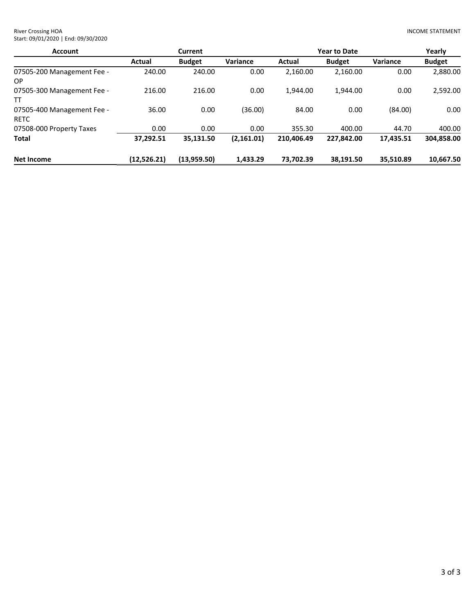| <b>Account</b>                     |             | <b>Current</b> |             |            | <b>Year to Date</b> | Yearly    |               |
|------------------------------------|-------------|----------------|-------------|------------|---------------------|-----------|---------------|
|                                    | Actual      | <b>Budget</b>  | Variance    | Actual     | <b>Budget</b>       | Variance  | <b>Budget</b> |
| 07505-200 Management Fee -<br>ОP   | 240.00      | 240.00         | 0.00        | 2,160.00   | 2,160.00            | 0.00      | 2,880.00      |
| 07505-300 Management Fee -<br>тт   | 216.00      | 216.00         | 0.00        | 1.944.00   | 1.944.00            | 0.00      | 2,592.00      |
| 07505-400 Management Fee -<br>RETC | 36.00       | 0.00           | (36.00)     | 84.00      | 0.00                | (84.00)   | 0.00          |
| 07508-000 Property Taxes           | 0.00        | 0.00           | 0.00        | 355.30     | 400.00              | 44.70     | 400.00        |
| Total                              | 37,292.51   | 35,131.50      | (2, 161.01) | 210.406.49 | 227.842.00          | 17,435.51 | 304,858.00    |
| Net Income                         | (12,526.21) | (13,959.50)    | 1.433.29    | 73,702.39  | 38.191.50           | 35.510.89 | 10,667.50     |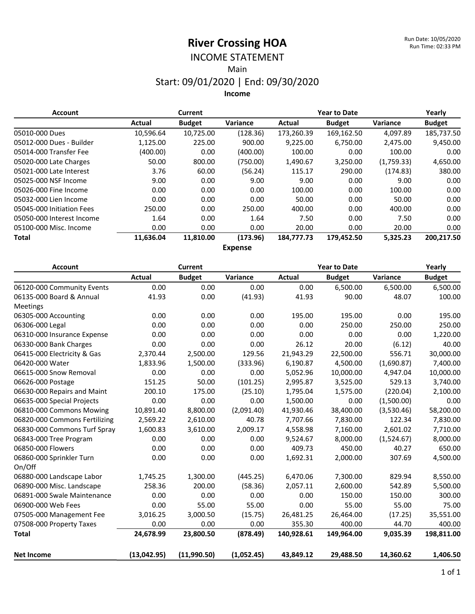# INCOME STATEMENT

Main

#### Start: 09/01/2020 | End: 09/30/2020

**Income**

| <b>Account</b>            |           | <b>Current</b> |          |            | <b>Year to Date</b> |                 |               |
|---------------------------|-----------|----------------|----------|------------|---------------------|-----------------|---------------|
|                           | Actual    | <b>Budget</b>  | Variance | Actual     | <b>Budget</b>       | <b>Variance</b> | <b>Budget</b> |
| 05010-000 Dues            | 10,596.64 | 10,725.00      | (128.36) | 173,260.39 | 169,162.50          | 4.097.89        | 185,737.50    |
| 05012-000 Dues - Builder  | 1,125.00  | 225.00         | 900.00   | 9,225.00   | 6,750.00            | 2,475.00        | 9,450.00      |
| 05014-000 Transfer Fee    | (400.00)  | 0.00           | (400.00) | 100.00     | 0.00                | 100.00          | 0.00          |
| 05020-000 Late Charges    | 50.00     | 800.00         | (750.00) | 1,490.67   | 3,250.00            | (1,759.33)      | 4,650.00      |
| 05021-000 Late Interest   | 3.76      | 60.00          | (56.24)  | 115.17     | 290.00              | (174.83)        | 380.00        |
| 05025-000 NSF Income      | 9.00      | 0.00           | 9.00     | 9.00       | 0.00                | 9.00            | 0.00          |
| 05026-000 Fine Income     | 0.00      | 0.00           | 0.00     | 100.00     | 0.00                | 100.00          | 0.00          |
| 05032-000 Lien Income     | 0.00      | 0.00           | 0.00     | 50.00      | 0.00                | 50.00           | 0.00          |
| 05045-000 Initiation Fees | 250.00    | 0.00           | 250.00   | 400.00     | 0.00                | 400.00          | 0.00          |
| 05050-000 Interest Income | 1.64      | 0.00           | 1.64     | 7.50       | 0.00                | 7.50            | 0.00          |
| 05100-000 Misc. Income    | 0.00      | 0.00           | 0.00     | 20.00      | 0.00                | 20.00           | 0.00          |
| Total                     | 11,636.04 | 11,810.00      | (173.96) | 184,777.73 | 179,452.50          | 5,325.23        | 200,217.50    |
|                           |           |                | Evannen  |            |                     |                 |               |

**Expense**

| <b>Account</b>                |               | <b>Current</b> |            |               | <b>Year to Date</b> |            | Yearly        |
|-------------------------------|---------------|----------------|------------|---------------|---------------------|------------|---------------|
|                               | <b>Actual</b> | <b>Budget</b>  | Variance   | <b>Actual</b> | <b>Budget</b>       | Variance   | <b>Budget</b> |
| 06120-000 Community Events    | 0.00          | 0.00           | 0.00       | 0.00          | 6,500.00            | 6,500.00   | 6,500.00      |
| 06135-000 Board & Annual      | 41.93         | 0.00           | (41.93)    | 41.93         | 90.00               | 48.07      | 100.00        |
| Meetings                      |               |                |            |               |                     |            |               |
| 06305-000 Accounting          | 0.00          | 0.00           | 0.00       | 195.00        | 195.00              | 0.00       | 195.00        |
| 06306-000 Legal               | 0.00          | 0.00           | 0.00       | 0.00          | 250.00              | 250.00     | 250.00        |
| 06310-000 Insurance Expense   | 0.00          | 0.00           | 0.00       | 0.00          | 0.00                | 0.00       | 1,220.00      |
| 06330-000 Bank Charges        | 0.00          | 0.00           | 0.00       | 26.12         | 20.00               | (6.12)     | 40.00         |
| 06415-000 Electricity & Gas   | 2,370.44      | 2,500.00       | 129.56     | 21,943.29     | 22,500.00           | 556.71     | 30,000.00     |
| 06420-000 Water               | 1,833.96      | 1,500.00       | (333.96)   | 6,190.87      | 4,500.00            | (1,690.87) | 7,400.00      |
| 06615-000 Snow Removal        | 0.00          | 0.00           | 0.00       | 5,052.96      | 10,000.00           | 4,947.04   | 10,000.00     |
| 06626-000 Postage             | 151.25        | 50.00          | (101.25)   | 2,995.87      | 3,525.00            | 529.13     | 3,740.00      |
| 06630-000 Repairs and Maint   | 200.10        | 175.00         | (25.10)    | 1,795.04      | 1,575.00            | (220.04)   | 2,100.00      |
| 06635-000 Special Projects    | 0.00          | 0.00           | 0.00       | 1,500.00      | 0.00                | (1,500.00) | 0.00          |
| 06810-000 Commons Mowing      | 10,891.40     | 8,800.00       | (2,091.40) | 41,930.46     | 38,400.00           | (3,530.46) | 58,200.00     |
| 06820-000 Commons Fertilizing | 2,569.22      | 2,610.00       | 40.78      | 7,707.66      | 7,830.00            | 122.34     | 7,830.00      |
| 06830-000 Commons Turf Spray  | 1,600.83      | 3,610.00       | 2,009.17   | 4,558.98      | 7,160.00            | 2,601.02   | 7,710.00      |
| 06843-000 Tree Program        | 0.00          | 0.00           | 0.00       | 9,524.67      | 8,000.00            | (1,524.67) | 8,000.00      |
| 06850-000 Flowers             | 0.00          | 0.00           | 0.00       | 409.73        | 450.00              | 40.27      | 650.00        |
| 06860-000 Sprinkler Turn      | 0.00          | 0.00           | 0.00       | 1,692.31      | 2,000.00            | 307.69     | 4,500.00      |
| On/Off                        |               |                |            |               |                     |            |               |
| 06880-000 Landscape Labor     | 1,745.25      | 1,300.00       | (445.25)   | 6,470.06      | 7,300.00            | 829.94     | 8,550.00      |
| 06890-000 Misc. Landscape     | 258.36        | 200.00         | (58.36)    | 2,057.11      | 2,600.00            | 542.89     | 5,500.00      |
| 06891-000 Swale Maintenance   | 0.00          | 0.00           | 0.00       | 0.00          | 150.00              | 150.00     | 300.00        |
| 06900-000 Web Fees            | 0.00          | 55.00          | 55.00      | 0.00          | 55.00               | 55.00      | 75.00         |
| 07505-000 Management Fee      | 3,016.25      | 3,000.50       | (15.75)    | 26,481.25     | 26,464.00           | (17.25)    | 35,551.00     |
| 07508-000 Property Taxes      | 0.00          | 0.00           | 0.00       | 355.30        | 400.00              | 44.70      | 400.00        |
| <b>Total</b>                  | 24,678.99     | 23,800.50      | (878.49)   | 140,928.61    | 149,964.00          | 9,035.39   | 198,811.00    |
| <b>Net Income</b>             | (13,042.95)   | (11,990.50)    | (1,052.45) | 43,849.12     | 29,488.50           | 14,360.62  | 1,406.50      |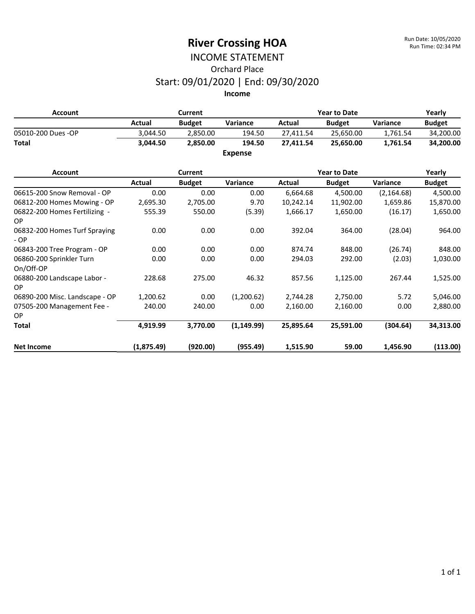#### INCOME STATEMENT Orchard Place Start: 09/01/2020 | End: 09/30/2020 **Income**

**Account Current Year to Date Yearly Actual Budget Variance Actual Budget Variance Budget** 05010-200 Dues -OP 3,044.50 2,850.00 194.50 27,411.54 25,650.00 1,761.54 34,200.00 **Total 3,044.50 2,850.00 194.50 27,411.54 25,650.00 1,761.54 34,200.00 Expense**

#### **Account Current Year to Date Yearly Actual Budget Variance Actual Budget Variance Budget** 06615-200 Snow Removal - OP 0.00 0.00 0.00 0.00 6,664.68 4,500.00 (2,164.68) 4,500.00 06812-200 Homes Mowing - OP 2,695.30 2,705.00 9.70 10,242.14 11,902.00 1,659.86 15,870.00 06822-200 Homes Fertilizing - OP 555.39 550.00 (5.39) 1,666.17 1,650.00 (16.17) 1,650.00 06832-200 Homes Turf Spraying - OP 0.00 0.00 0.00 392.04 364.00 (28.04) 964.00 06843-200 Tree Program - OP 0.00 0.00 0.00 874.74 848.00 (26.74) 848.00 06860-200 Sprinkler Turn On/Off-OP 0.00 0.00 0.00 294.03 292.00 (2.03) 1,030.00 06880-200 Landscape Labor - OP 228.68 275.00 46.32 857.56 1,125.00 267.44 1,525.00 06890-200 Misc. Landscape - OP 1,200.62 0.00 (1,200.62) 2,744.28 2,750.00 5.72 5,046.00 07505-200 Management Fee - OP 240.00 240.00 0.00 2,160.00 2,160.00 0.00 2,880.00 **Total 4,919.99 3,770.00 (1,149.99) 25,895.64 25,591.00 (304.64) 34,313.00 Net Income (1,875.49) (920.00) (955.49) 1,515.90 59.00 1,456.90 (113.00)**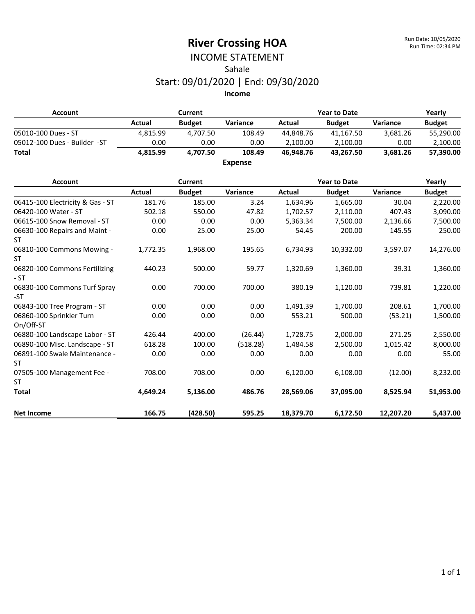### INCOME STATEMENT Sahale

#### Start: 09/01/2020 | End: 09/30/2020

| <b>Account</b>                             |               | <b>Current</b> |                |               | <b>Year to Date</b> |           | Yearly        |
|--------------------------------------------|---------------|----------------|----------------|---------------|---------------------|-----------|---------------|
|                                            | <b>Actual</b> | <b>Budget</b>  | Variance       | <b>Actual</b> | <b>Budget</b>       | Variance  | <b>Budget</b> |
| 05010-100 Dues - ST                        | 4,815.99      | 4,707.50       | 108.49         | 44,848.76     | 41,167.50           | 3,681.26  | 55,290.00     |
| 05012-100 Dues - Builder -ST               | 0.00          | 0.00           | 0.00           | 2,100.00      | 2,100.00            | 0.00      | 2,100.00      |
| <b>Total</b>                               | 4,815.99      | 4,707.50       | 108.49         | 46.948.76     | 43,267.50           | 3,681.26  | 57,390.00     |
|                                            |               |                | <b>Expense</b> |               |                     |           |               |
| <b>Account</b>                             |               | Current        |                |               | <b>Year to Date</b> |           | Yearly        |
|                                            | <b>Actual</b> | <b>Budget</b>  | Variance       | <b>Actual</b> | <b>Budget</b>       | Variance  | <b>Budget</b> |
| 06415-100 Electricity & Gas - ST           | 181.76        | 185.00         | 3.24           | 1,634.96      | 1,665.00            | 30.04     | 2,220.00      |
| 06420-100 Water - ST                       | 502.18        | 550.00         | 47.82          | 1,702.57      | 2,110.00            | 407.43    | 3,090.00      |
| 06615-100 Snow Removal - ST                | 0.00          | 0.00           | 0.00           | 5,363.34      | 7,500.00            | 2,136.66  | 7,500.00      |
| 06630-100 Repairs and Maint -<br><b>ST</b> | 0.00          | 25.00          | 25.00          | 54.45         | 200.00              | 145.55    | 250.00        |
| 06810-100 Commons Mowing -<br><b>ST</b>    | 1,772.35      | 1,968.00       | 195.65         | 6,734.93      | 10,332.00           | 3,597.07  | 14,276.00     |
| 06820-100 Commons Fertilizing<br>$-ST$     | 440.23        | 500.00         | 59.77          | 1,320.69      | 1,360.00            | 39.31     | 1,360.00      |
| 06830-100 Commons Turf Spray<br>-ST        | 0.00          | 700.00         | 700.00         | 380.19        | 1,120.00            | 739.81    | 1,220.00      |
| 06843-100 Tree Program - ST                | 0.00          | 0.00           | 0.00           | 1,491.39      | 1,700.00            | 208.61    | 1,700.00      |
| 06860-100 Sprinkler Turn<br>On/Off-ST      | 0.00          | 0.00           | 0.00           | 553.21        | 500.00              | (53.21)   | 1,500.00      |
| 06880-100 Landscape Labor - ST             | 426.44        | 400.00         | (26.44)        | 1,728.75      | 2,000.00            | 271.25    | 2,550.00      |
| 06890-100 Misc. Landscape - ST             | 618.28        | 100.00         | (518.28)       | 1,484.58      | 2,500.00            | 1,015.42  | 8,000.00      |
| 06891-100 Swale Maintenance -<br><b>ST</b> | 0.00          | 0.00           | 0.00           | 0.00          | 0.00                | 0.00      | 55.00         |
| 07505-100 Management Fee -<br><b>ST</b>    | 708.00        | 708.00         | 0.00           | 6,120.00      | 6,108.00            | (12.00)   | 8,232.00      |
| <b>Total</b>                               | 4,649.24      | 5,136.00       | 486.76         | 28,569.06     | 37,095.00           | 8,525.94  | 51,953.00     |
| <b>Net Income</b>                          | 166.75        | (428.50)       | 595.25         | 18,379.70     | 6,172.50            | 12,207.20 | 5,437.00      |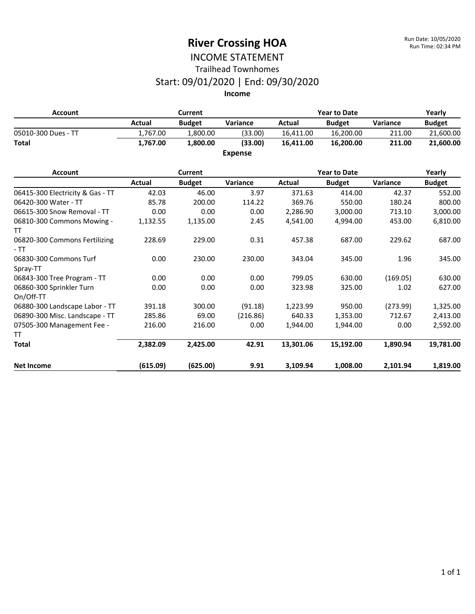#### INCOME STATEMENT Trailhead Townhomes

#### Start: 09/01/2020 | End: 09/30/2020

| <b>Account</b>      |          | <b>Current</b> |                | <b>Year to Date</b> | Yearly            |          |               |
|---------------------|----------|----------------|----------------|---------------------|-------------------|----------|---------------|
|                     | Actual   | <b>Budget</b>  | Variance       | Actual              | <b>Budget</b>     | Variance | <b>Budget</b> |
| 05010-300 Dues - TT | 1.767.00 | 1,800.00       | (33.00)        | 16,411.00           | 16,200.00         | 211.00   | 21,600.00     |
| <b>Total</b>        | 1,767.00 | 1,800.00       | (33.00)        | 16,411.00           | 16,200.00         | 211.00   | 21,600.00     |
|                     |          |                | <b>Expense</b> |                     |                   |          |               |
| $A = 1, 2, 3, 4$    |          |                |                |                     | $M = 0.42$ Police |          | $M = -1$      |

| <b>Account</b>                        |          | Current       |          |           | <b>Year to Date</b> |          | Yearly        |
|---------------------------------------|----------|---------------|----------|-----------|---------------------|----------|---------------|
|                                       | Actual   | <b>Budget</b> | Variance | Actual    | <b>Budget</b>       | Variance | <b>Budget</b> |
| 06415-300 Electricity & Gas - TT      | 42.03    | 46.00         | 3.97     | 371.63    | 414.00              | 42.37    | 552.00        |
| 06420-300 Water - TT                  | 85.78    | 200.00        | 114.22   | 369.76    | 550.00              | 180.24   | 800.00        |
| 06615-300 Snow Removal - TT           | 0.00     | 0.00          | 0.00     | 2,286.90  | 3,000.00            | 713.10   | 3,000.00      |
| 06810-300 Commons Mowing -<br>TT      | 1,132.55 | 1,135.00      | 2.45     | 4,541.00  | 4,994.00            | 453.00   | 6,810.00      |
| 06820-300 Commons Fertilizing<br>- TT | 228.69   | 229.00        | 0.31     | 457.38    | 687.00              | 229.62   | 687.00        |
| 06830-300 Commons Turf<br>Spray-TT    | 0.00     | 230.00        | 230.00   | 343.04    | 345.00              | 1.96     | 345.00        |
| 06843-300 Tree Program - TT           | 0.00     | 0.00          | 0.00     | 799.05    | 630.00              | (169.05) | 630.00        |
| 06860-300 Sprinkler Turn<br>On/Off-TT | 0.00     | 0.00          | 0.00     | 323.98    | 325.00              | 1.02     | 627.00        |
| 06880-300 Landscape Labor - TT        | 391.18   | 300.00        | (91.18)  | 1,223.99  | 950.00              | (273.99) | 1,325.00      |
| 06890-300 Misc. Landscape - TT        | 285.86   | 69.00         | (216.86) | 640.33    | 1,353.00            | 712.67   | 2,413.00      |
| 07505-300 Management Fee -            | 216.00   | 216.00        | 0.00     | 1,944.00  | 1,944.00            | 0.00     | 2,592.00      |
| TT                                    |          |               |          |           |                     |          |               |
| <b>Total</b>                          | 2,382.09 | 2,425.00      | 42.91    | 13,301.06 | 15,192.00           | 1,890.94 | 19,781.00     |
| <b>Net Income</b>                     | (615.09) | (625.00)      | 9.91     | 3,109.94  | 1,008.00            | 2,101.94 | 1,819.00      |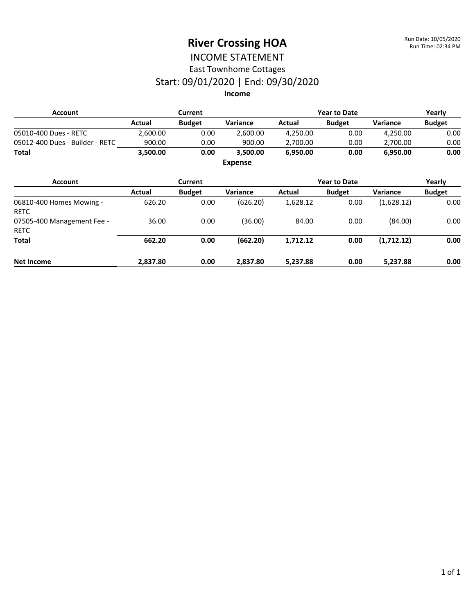#### INCOME STATEMENT East Townhome Cottages

# Start: 09/01/2020 | End: 09/30/2020

| <b>Account</b>                            |          | <b>Current</b> |                |          | <b>Year to Date</b> |            | Yearly        |
|-------------------------------------------|----------|----------------|----------------|----------|---------------------|------------|---------------|
|                                           | Actual   | <b>Budget</b>  | Variance       | Actual   | <b>Budget</b>       | Variance   | <b>Budget</b> |
| 05010-400 Dues - RETC                     | 2,600.00 | 0.00           | 2,600.00       | 4,250.00 | 0.00                | 4,250.00   | 0.00          |
| 05012-400 Dues - Builder - RETC           | 900.00   | 0.00           | 900.00         | 2,700.00 | 0.00                | 2,700.00   | 0.00          |
| Total                                     | 3,500.00 | 0.00           | 3,500.00       | 6,950.00 | 0.00                | 6,950.00   | 0.00          |
|                                           |          |                | <b>Expense</b> |          |                     |            |               |
| <b>Account</b>                            |          | <b>Current</b> |                |          | <b>Year to Date</b> |            | Yearly        |
|                                           | Actual   | <b>Budget</b>  | Variance       | Actual   | <b>Budget</b>       | Variance   | <b>Budget</b> |
| 06810-400 Homes Mowing -<br><b>RETC</b>   | 626.20   | 0.00           | (626.20)       | 1,628.12 | 0.00                | (1,628.12) | 0.00          |
| 07505-400 Management Fee -<br><b>RETC</b> | 36.00    | 0.00           | (36.00)        | 84.00    | 0.00                | (84.00)    | 0.00          |
| Total                                     | 662.20   | 0.00           | (662.20)       | 1,712.12 | 0.00                | (1,712.12) | 0.00          |
| <b>Net Income</b>                         | 2,837.80 | 0.00           | 2,837.80       | 5,237.88 | 0.00                | 5,237.88   | 0.00          |